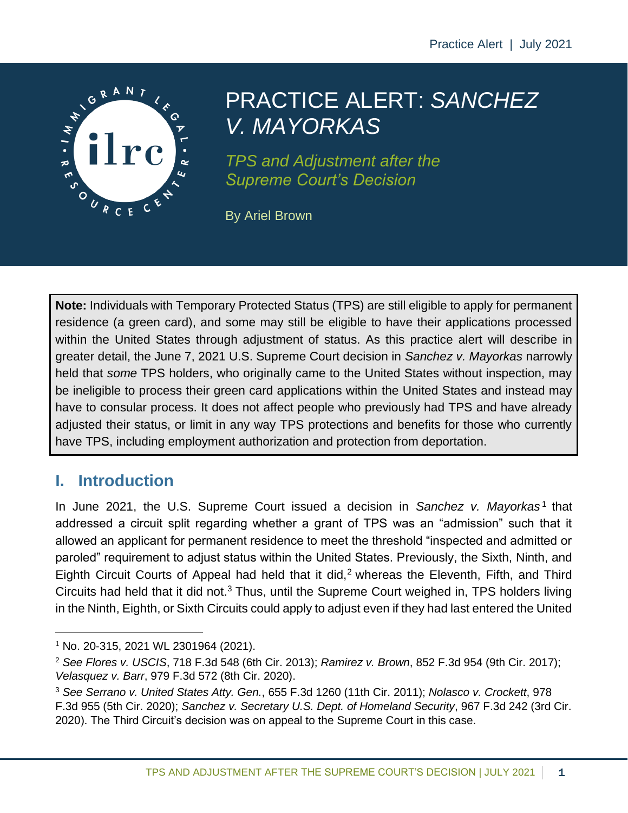

# PRACTICE ALERT: *SANCHEZ V. MAYORKAS*

*TPS and Adjustment after the Supreme Court's Decision*

By Ariel Brown

**Note:** Individuals with Temporary Protected Status (TPS) are still eligible to apply for permanent residence (a green card), and some may still be eligible to have their applications processed within the United States through adjustment of status. As this practice alert will describe in greater detail, the June 7, 2021 U.S. Supreme Court decision in *Sanchez v. Mayorkas* narrowly held that *some* TPS holders, who originally came to the United States without inspection, may be ineligible to process their green card applications within the United States and instead may have to consular process. It does not affect people who previously had TPS and have already adjusted their status, or limit in any way TPS protections and benefits for those who currently have TPS, including employment authorization and protection from deportation.

# **I. Introduction**

In June 2021, the U.S. Supreme Court issued a decision in Sanchez v. Mayorkas<sup>1</sup> that addressed a circuit split regarding whether a grant of TPS was an "admission" such that it allowed an applicant for permanent residence to meet the threshold "inspected and admitted or paroled" requirement to adjust status within the United States. Previously, the Sixth, Ninth, and Eighth Circuit Courts of Appeal had held that it did,<sup>2</sup> whereas the Eleventh, Fifth, and Third Circuits had held that it did not.<sup>3</sup> Thus, until the Supreme Court weighed in, TPS holders living in the Ninth, Eighth, or Sixth Circuits could apply to adjust even if they had last entered the United

<sup>1</sup> No. 20-315, 2021 WL 2301964 (2021).

<sup>2</sup> *See Flores v. USCIS*, 718 F.3d 548 (6th Cir. 2013); *Ramirez v. Brown*, 852 F.3d 954 (9th Cir. 2017); *Velasquez v. Barr*, 979 F.3d 572 (8th Cir. 2020).

<sup>3</sup> *See Serrano v. United States Atty. Gen.*, 655 F.3d 1260 (11th Cir. 2011); *Nolasco v. Crockett*, 978 F.3d 955 (5th Cir. 2020); *Sanchez v. Secretary U.S. Dept. of Homeland Security*, 967 F.3d 242 (3rd Cir. 2020). The Third Circuit's decision was on appeal to the Supreme Court in this case.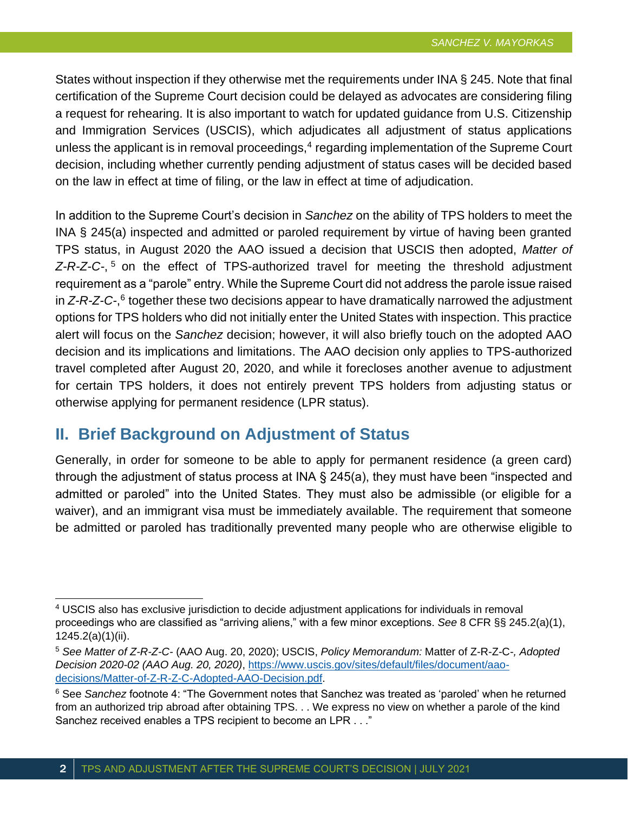States without inspection if they otherwise met the requirements under INA § 245. Note that final certification of the Supreme Court decision could be delayed as advocates are considering filing a request for rehearing. It is also important to watch for updated guidance from U.S. Citizenship and Immigration Services (USCIS), which adjudicates all adjustment of status applications unless the applicant is in removal proceedings,<sup>4</sup> regarding implementation of the Supreme Court decision, including whether currently pending adjustment of status cases will be decided based on the law in effect at time of filing, or the law in effect at time of adjudication.

In addition to the Supreme Court's decision in *Sanchez* on the ability of TPS holders to meet the INA § 245(a) inspected and admitted or paroled requirement by virtue of having been granted TPS status, in August 2020 the AAO issued a decision that USCIS then adopted, *Matter of Z-R-Z-C-*, <sup>5</sup> on the effect of TPS-authorized travel for meeting the threshold adjustment requirement as a "parole" entry. While the Supreme Court did not address the parole issue raised in *Z-R-Z-C-*,<sup>6</sup> together these two decisions appear to have dramatically narrowed the adjustment options for TPS holders who did not initially enter the United States with inspection. This practice alert will focus on the *Sanchez* decision; however, it will also briefly touch on the adopted AAO decision and its implications and limitations. The AAO decision only applies to TPS-authorized travel completed after August 20, 2020, and while it forecloses another avenue to adjustment for certain TPS holders, it does not entirely prevent TPS holders from adjusting status or otherwise applying for permanent residence (LPR status).

## **II. Brief Background on Adjustment of Status**

Generally, in order for someone to be able to apply for permanent residence (a green card) through the adjustment of status process at INA § 245(a), they must have been "inspected and admitted or paroled" into the United States. They must also be admissible (or eligible for a waiver), and an immigrant visa must be immediately available. The requirement that someone be admitted or paroled has traditionally prevented many people who are otherwise eligible to

<sup>4</sup> USCIS also has exclusive jurisdiction to decide adjustment applications for individuals in removal proceedings who are classified as "arriving aliens," with a few minor exceptions. *See* 8 CFR §§ 245.2(a)(1), 1245.2(a)(1)(ii).

<sup>5</sup> *See Matter of Z-R-Z-C-* (AAO Aug. 20, 2020); USCIS, *Policy Memorandum:* Matter of Z-R-Z-C-*, Adopted Decision 2020-02 (AAO Aug. 20, 2020)*, [https://www.uscis.gov/sites/default/files/document/aao](https://www.uscis.gov/sites/default/files/document/aao-decisions/Matter-of-Z-R-Z-C-Adopted-AAO-Decision.pdf)[decisions/Matter-of-Z-R-Z-C-Adopted-AAO-Decision.pdf.](https://www.uscis.gov/sites/default/files/document/aao-decisions/Matter-of-Z-R-Z-C-Adopted-AAO-Decision.pdf)

<sup>6</sup> See *Sanchez* footnote 4: "The Government notes that Sanchez was treated as 'paroled' when he returned from an authorized trip abroad after obtaining TPS. . . We express no view on whether a parole of the kind Sanchez received enables a TPS recipient to become an LPR . . ."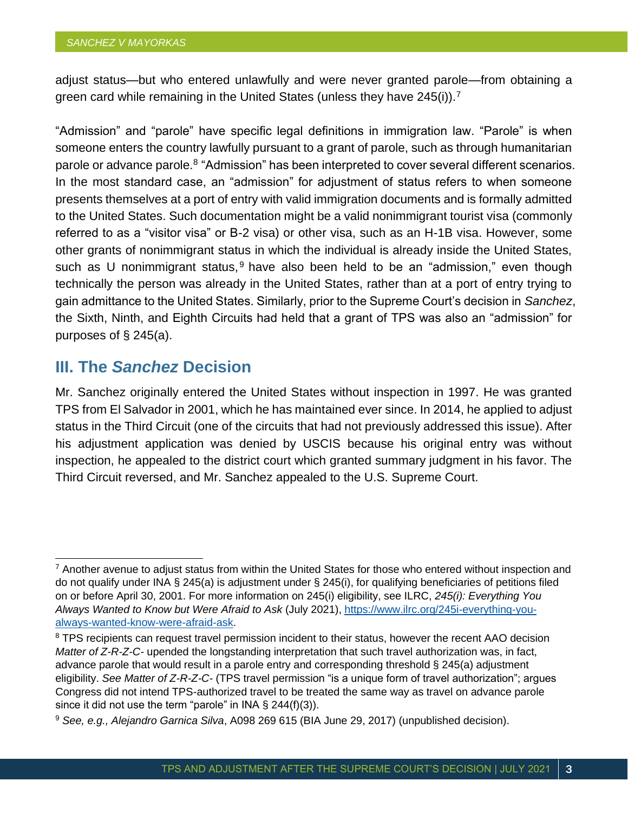adjust status—but who entered unlawfully and were never granted parole—from obtaining a green card while remaining in the United States (unless they have 245(i)).<sup>7</sup>

"Admission" and "parole" have specific legal definitions in immigration law. "Parole" is when someone enters the country lawfully pursuant to a grant of parole, such as through humanitarian parole or advance parole.<sup>8</sup> "Admission" has been interpreted to cover several different scenarios. In the most standard case, an "admission" for adjustment of status refers to when someone presents themselves at a port of entry with valid immigration documents and is formally admitted to the United States. Such documentation might be a valid nonimmigrant tourist visa (commonly referred to as a "visitor visa" or B-2 visa) or other visa, such as an H-1B visa. However, some other grants of nonimmigrant status in which the individual is already inside the United States, such as U nonimmigrant status,  $9$  have also been held to be an "admission," even though technically the person was already in the United States, rather than at a port of entry trying to gain admittance to the United States. Similarly, prior to the Supreme Court's decision in *Sanchez*, the Sixth, Ninth, and Eighth Circuits had held that a grant of TPS was also an "admission" for purposes of § 245(a).

#### **III. The** *Sanchez* **Decision**

Mr. Sanchez originally entered the United States without inspection in 1997. He was granted TPS from El Salvador in 2001, which he has maintained ever since. In 2014, he applied to adjust status in the Third Circuit (one of the circuits that had not previously addressed this issue). After his adjustment application was denied by USCIS because his original entry was without inspection, he appealed to the district court which granted summary judgment in his favor. The Third Circuit reversed, and Mr. Sanchez appealed to the U.S. Supreme Court.

 $7$  Another avenue to adjust status from within the United States for those who entered without inspection and do not qualify under INA § 245(a) is adjustment under § 245(i), for qualifying beneficiaries of petitions filed on or before April 30, 2001. For more information on 245(i) eligibility, see ILRC, *245(i): Everything You Always Wanted to Know but Were Afraid to Ask* (July 2021), [https://www.ilrc.org/245i-everything-you](https://www.ilrc.org/245i-everything-you-always-wanted-know-were-afraid-ask)[always-wanted-know-were-afraid-ask.](https://www.ilrc.org/245i-everything-you-always-wanted-know-were-afraid-ask)

<sup>&</sup>lt;sup>8</sup> TPS recipients can request travel permission incident to their status, however the recent AAO decision *Matter of Z-R-Z-C-* upended the longstanding interpretation that such travel authorization was, in fact, advance parole that would result in a parole entry and corresponding threshold § 245(a) adjustment eligibility. *See Matter of Z-R-Z-C-* (TPS travel permission "is a unique form of travel authorization"; argues Congress did not intend TPS-authorized travel to be treated the same way as travel on advance parole since it did not use the term "parole" in INA  $\S$  244(f)(3)).

<sup>9</sup> *See, e.g., Alejandro Garnica Silva*, A098 269 615 (BIA June 29, 2017) (unpublished decision).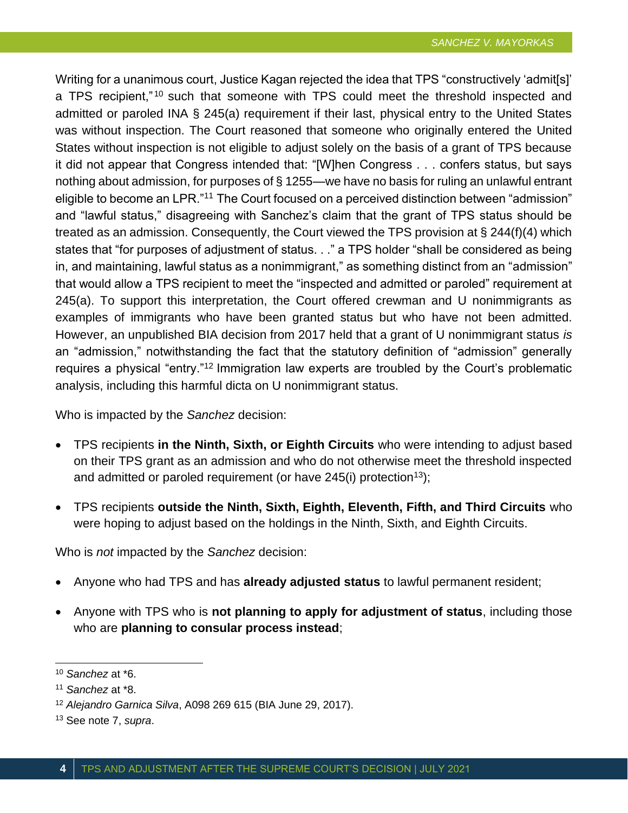Writing for a unanimous court, Justice Kagan rejected the idea that TPS "constructively 'admit[s]' a TPS recipient,"<sup>10</sup> such that someone with TPS could meet the threshold inspected and admitted or paroled INA § 245(a) requirement if their last, physical entry to the United States was without inspection. The Court reasoned that someone who originally entered the United States without inspection is not eligible to adjust solely on the basis of a grant of TPS because it did not appear that Congress intended that: "[W]hen Congress . . . confers status, but says nothing about admission, for purposes of § 1255—we have no basis for ruling an unlawful entrant eligible to become an LPR."<sup>11</sup> The Court focused on a perceived distinction between "admission" and "lawful status," disagreeing with Sanchez's claim that the grant of TPS status should be treated as an admission. Consequently, the Court viewed the TPS provision at § 244(f)(4) which states that "for purposes of adjustment of status. . ." a TPS holder "shall be considered as being in, and maintaining, lawful status as a nonimmigrant," as something distinct from an "admission" that would allow a TPS recipient to meet the "inspected and admitted or paroled" requirement at 245(a). To support this interpretation, the Court offered crewman and U nonimmigrants as examples of immigrants who have been granted status but who have not been admitted. However, an unpublished BIA decision from 2017 held that a grant of U nonimmigrant status *is* an "admission," notwithstanding the fact that the statutory definition of "admission" generally requires a physical "entry."<sup>12</sup> Immigration law experts are troubled by the Court's problematic analysis, including this harmful dicta on U nonimmigrant status.

Who is impacted by the *Sanchez* decision:

- TPS recipients **in the Ninth, Sixth, or Eighth Circuits** who were intending to adjust based on their TPS grant as an admission and who do not otherwise meet the threshold inspected and admitted or paroled requirement (or have  $245(i)$  protection<sup>13</sup>);
- TPS recipients **outside the Ninth, Sixth, Eighth, Eleventh, Fifth, and Third Circuits** who were hoping to adjust based on the holdings in the Ninth, Sixth, and Eighth Circuits.

Who is *not* impacted by the *Sanchez* decision:

- Anyone who had TPS and has **already adjusted status** to lawful permanent resident;
- Anyone with TPS who is **not planning to apply for adjustment of status**, including those who are **planning to consular process instead**;

<sup>10</sup> *Sanchez* at \*6.

<sup>11</sup> *Sanchez* at \*8.

<sup>12</sup> *Alejandro Garnica Silva*, A098 269 615 (BIA June 29, 2017).

<sup>13</sup> See note 7, *supra*.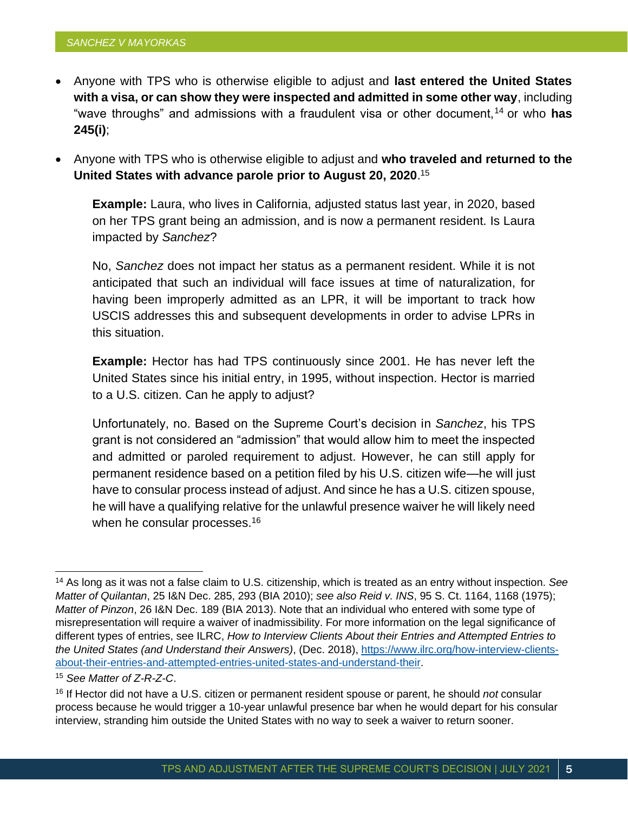- Anyone with TPS who is otherwise eligible to adjust and **last entered the United States with a visa, or can show they were inspected and admitted in some other way**, including "wave throughs" and admissions with a fraudulent visa or other document,<sup>14</sup> or who **has 245(i)**;
- Anyone with TPS who is otherwise eligible to adjust and **who traveled and returned to the United States with advance parole prior to August 20, 2020**. 15

**Example:** Laura, who lives in California, adjusted status last year, in 2020, based on her TPS grant being an admission, and is now a permanent resident. Is Laura impacted by *Sanchez*?

No, *Sanchez* does not impact her status as a permanent resident. While it is not anticipated that such an individual will face issues at time of naturalization, for having been improperly admitted as an LPR, it will be important to track how USCIS addresses this and subsequent developments in order to advise LPRs in this situation.

**Example:** Hector has had TPS continuously since 2001. He has never left the United States since his initial entry, in 1995, without inspection. Hector is married to a U.S. citizen. Can he apply to adjust?

Unfortunately, no. Based on the Supreme Court's decision in *Sanchez*, his TPS grant is not considered an "admission" that would allow him to meet the inspected and admitted or paroled requirement to adjust. However, he can still apply for permanent residence based on a petition filed by his U.S. citizen wife—he will just have to consular process instead of adjust. And since he has a U.S. citizen spouse, he will have a qualifying relative for the unlawful presence waiver he will likely need when he consular processes.<sup>16</sup>

<sup>15</sup> *See Matter of Z-R-Z-C*.

<sup>14</sup> As long as it was not a false claim to U.S. citizenship, which is treated as an entry without inspection. *See Matter of Quilantan*, 25 I&N Dec. 285, 293 (BIA 2010); *see also Reid v. INS*, 95 S. Ct. 1164, 1168 (1975); *Matter of Pinzon*, 26 I&N Dec. 189 (BIA 2013). Note that an individual who entered with some type of misrepresentation will require a waiver of inadmissibility. For more information on the legal significance of different types of entries, see ILRC, *How to Interview Clients About their Entries and Attempted Entries to the United States (and Understand their Answers)*, (Dec. 2018), [https://www.ilrc.org/how-interview-clients](https://www.ilrc.org/how-interview-clients-about-their-entries-and-attempted-entries-united-states-and-understand-their)[about-their-entries-and-attempted-entries-united-states-and-understand-their.](https://www.ilrc.org/how-interview-clients-about-their-entries-and-attempted-entries-united-states-and-understand-their)

<sup>16</sup> If Hector did not have a U.S. citizen or permanent resident spouse or parent, he should *not* consular process because he would trigger a 10-year unlawful presence bar when he would depart for his consular interview, stranding him outside the United States with no way to seek a waiver to return sooner.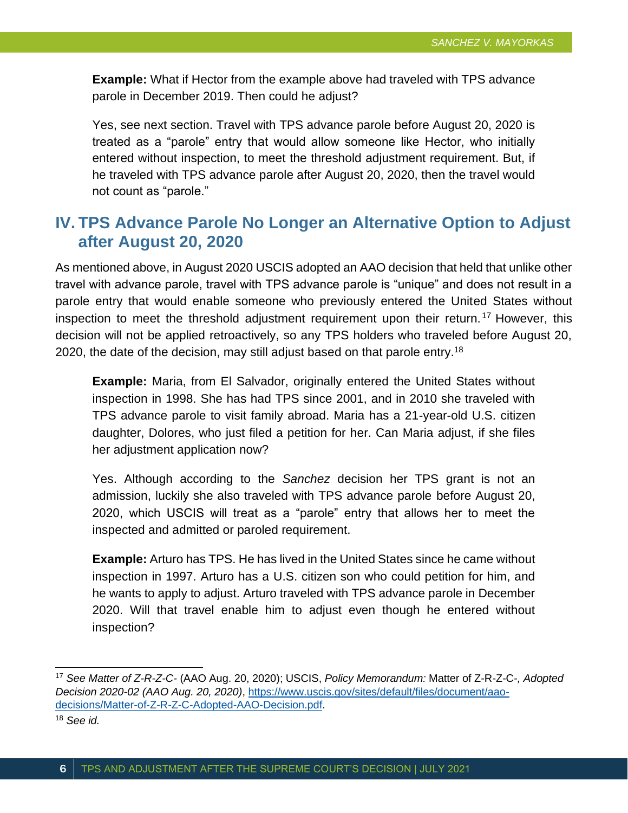**Example:** What if Hector from the example above had traveled with TPS advance parole in December 2019. Then could he adjust?

Yes, see next section. Travel with TPS advance parole before August 20, 2020 is treated as a "parole" entry that would allow someone like Hector, who initially entered without inspection, to meet the threshold adjustment requirement. But, if he traveled with TPS advance parole after August 20, 2020, then the travel would not count as "parole."

# **IV. TPS Advance Parole No Longer an Alternative Option to Adjust after August 20, 2020**

As mentioned above, in August 2020 USCIS adopted an AAO decision that held that unlike other travel with advance parole, travel with TPS advance parole is "unique" and does not result in a parole entry that would enable someone who previously entered the United States without inspection to meet the threshold adjustment requirement upon their return.<sup>17</sup> However, this decision will not be applied retroactively, so any TPS holders who traveled before August 20, 2020, the date of the decision, may still adjust based on that parole entry.<sup>18</sup>

**Example:** Maria, from El Salvador, originally entered the United States without inspection in 1998. She has had TPS since 2001, and in 2010 she traveled with TPS advance parole to visit family abroad. Maria has a 21-year-old U.S. citizen daughter, Dolores, who just filed a petition for her. Can Maria adjust, if she files her adjustment application now?

Yes. Although according to the *Sanchez* decision her TPS grant is not an admission, luckily she also traveled with TPS advance parole before August 20, 2020, which USCIS will treat as a "parole" entry that allows her to meet the inspected and admitted or paroled requirement.

**Example:** Arturo has TPS. He has lived in the United States since he came without inspection in 1997. Arturo has a U.S. citizen son who could petition for him, and he wants to apply to adjust. Arturo traveled with TPS advance parole in December 2020. Will that travel enable him to adjust even though he entered without inspection?

<sup>17</sup> *See Matter of Z-R-Z-C-* (AAO Aug. 20, 2020); USCIS, *Policy Memorandum:* Matter of Z-R-Z-C-*, Adopted Decision 2020-02 (AAO Aug. 20, 2020)*, [https://www.uscis.gov/sites/default/files/document/aao](https://www.uscis.gov/sites/default/files/document/aao-decisions/Matter-of-Z-R-Z-C-Adopted-AAO-Decision.pdf)[decisions/Matter-of-Z-R-Z-C-Adopted-AAO-Decision.pdf.](https://www.uscis.gov/sites/default/files/document/aao-decisions/Matter-of-Z-R-Z-C-Adopted-AAO-Decision.pdf)

<sup>18</sup> *See id.*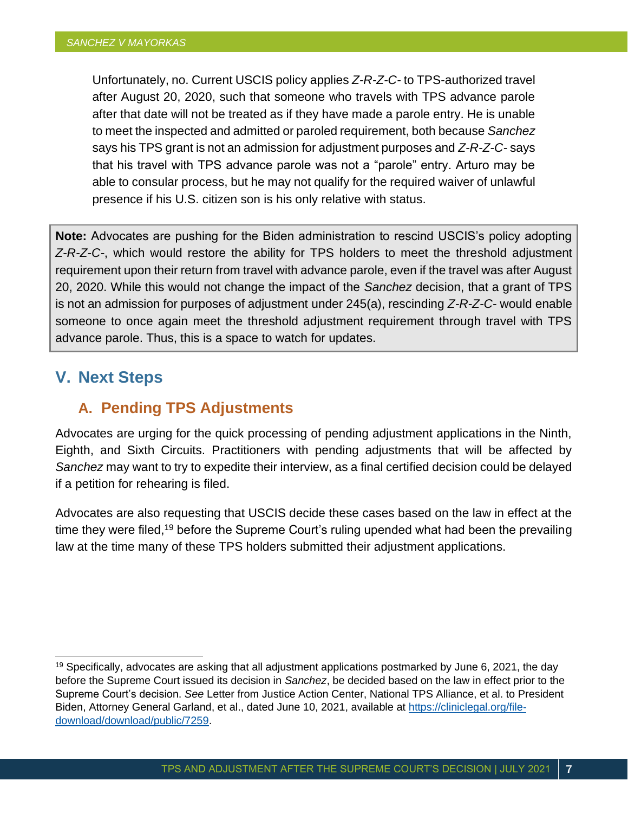Unfortunately, no. Current USCIS policy applies *Z-R-Z-C-* to TPS-authorized travel after August 20, 2020, such that someone who travels with TPS advance parole after that date will not be treated as if they have made a parole entry. He is unable to meet the inspected and admitted or paroled requirement, both because *Sanchez* says his TPS grant is not an admission for adjustment purposes and *Z-R-Z-C-* says that his travel with TPS advance parole was not a "parole" entry. Arturo may be able to consular process, but he may not qualify for the required waiver of unlawful presence if his U.S. citizen son is his only relative with status.

**Note:** Advocates are pushing for the Biden administration to rescind USCIS's policy adopting *Z-R-Z-C-*, which would restore the ability for TPS holders to meet the threshold adjustment requirement upon their return from travel with advance parole, even if the travel was after August 20, 2020. While this would not change the impact of the *Sanchez* decision, that a grant of TPS is not an admission for purposes of adjustment under 245(a), rescinding *Z-R-Z-C-* would enable someone to once again meet the threshold adjustment requirement through travel with TPS advance parole. Thus, this is a space to watch for updates.

# **V. Next Steps**

# **A. Pending TPS Adjustments**

Advocates are urging for the quick processing of pending adjustment applications in the Ninth, Eighth, and Sixth Circuits. Practitioners with pending adjustments that will be affected by *Sanchez* may want to try to expedite their interview, as a final certified decision could be delayed if a petition for rehearing is filed.

Advocates are also requesting that USCIS decide these cases based on the law in effect at the time they were filed,<sup>19</sup> before the Supreme Court's ruling upended what had been the prevailing law at the time many of these TPS holders submitted their adjustment applications.

 $19$  Specifically, advocates are asking that all adjustment applications postmarked by June 6, 2021, the day before the Supreme Court issued its decision in *Sanchez*, be decided based on the law in effect prior to the Supreme Court's decision. *See* Letter from Justice Action Center, National TPS Alliance, et al. to President Biden, Attorney General Garland, et al., dated June 10, 2021, available at [https://cliniclegal.org/file](https://cliniclegal.org/file-download/download/public/7259)[download/download/public/7259.](https://cliniclegal.org/file-download/download/public/7259)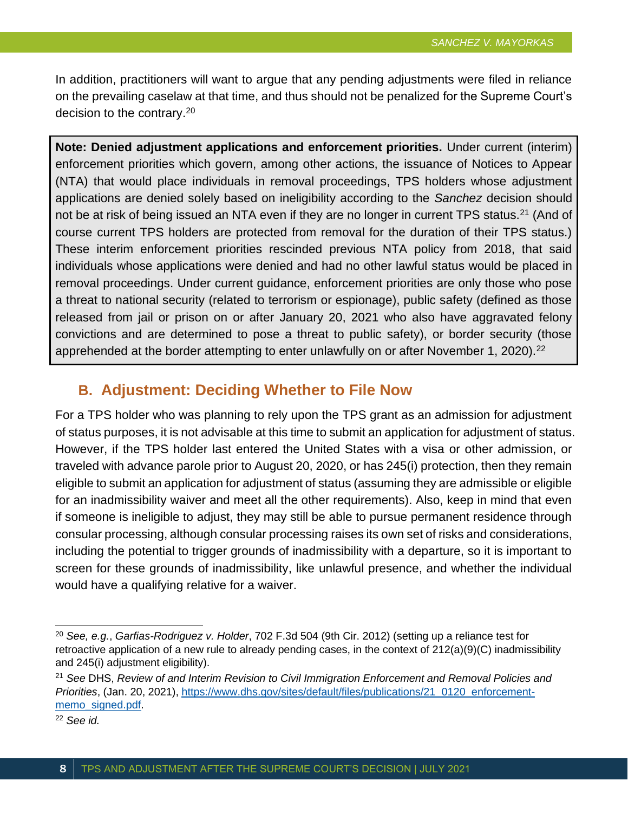In addition, practitioners will want to argue that any pending adjustments were filed in reliance on the prevailing caselaw at that time, and thus should not be penalized for the Supreme Court's decision to the contrary.<sup>20</sup>

**Note: Denied adjustment applications and enforcement priorities.** Under current (interim) enforcement priorities which govern, among other actions, the issuance of Notices to Appear (NTA) that would place individuals in removal proceedings, TPS holders whose adjustment applications are denied solely based on ineligibility according to the *Sanchez* decision should not be at risk of being issued an NTA even if they are no longer in current TPS status.<sup>21</sup> (And of course current TPS holders are protected from removal for the duration of their TPS status.) These interim enforcement priorities rescinded previous NTA policy from 2018, that said individuals whose applications were denied and had no other lawful status would be placed in removal proceedings. Under current guidance, enforcement priorities are only those who pose a threat to national security (related to terrorism or espionage), public safety (defined as those released from jail or prison on or after January 20, 2021 who also have aggravated felony convictions and are determined to pose a threat to public safety), or border security (those apprehended at the border attempting to enter unlawfully on or after November 1, 2020).<sup>22</sup>

## **B. Adjustment: Deciding Whether to File Now**

For a TPS holder who was planning to rely upon the TPS grant as an admission for adjustment of status purposes, it is not advisable at this time to submit an application for adjustment of status. However, if the TPS holder last entered the United States with a visa or other admission, or traveled with advance parole prior to August 20, 2020, or has 245(i) protection, then they remain eligible to submit an application for adjustment of status (assuming they are admissible or eligible for an inadmissibility waiver and meet all the other requirements). Also, keep in mind that even if someone is ineligible to adjust, they may still be able to pursue permanent residence through consular processing, although consular processing raises its own set of risks and considerations, including the potential to trigger grounds of inadmissibility with a departure, so it is important to screen for these grounds of inadmissibility, like unlawful presence, and whether the individual would have a qualifying relative for a waiver.

<sup>20</sup> *See, e.g.*, *Garfias-Rodriguez v. Holder*, 702 F.3d 504 (9th Cir. 2012) (setting up a reliance test for retroactive application of a new rule to already pending cases, in the context of 212(a)(9)(C) inadmissibility and 245(i) adjustment eligibility).

<sup>21</sup> *See* DHS, *Review of and Interim Revision to Civil Immigration Enforcement and Removal Policies and Priorities*, (Jan. 20, 2021), [https://www.dhs.gov/sites/default/files/publications/21\\_0120\\_enforcement](https://www.dhs.gov/sites/default/files/publications/21_0120_enforcement-memo_signed.pdf)[memo\\_signed.pdf.](https://www.dhs.gov/sites/default/files/publications/21_0120_enforcement-memo_signed.pdf)

<sup>22</sup> *See id.*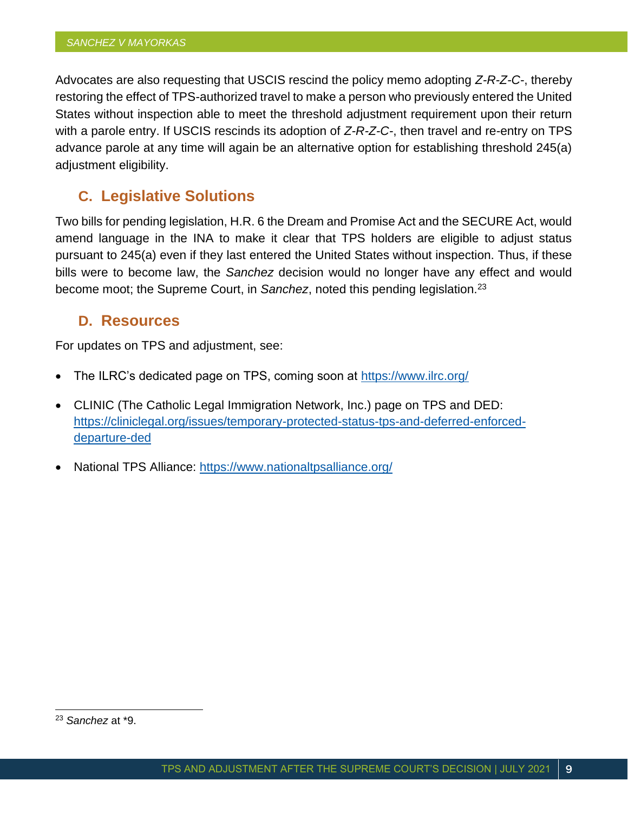Advocates are also requesting that USCIS rescind the policy memo adopting *Z-R-Z-C-*, thereby restoring the effect of TPS-authorized travel to make a person who previously entered the United States without inspection able to meet the threshold adjustment requirement upon their return with a parole entry. If USCIS rescinds its adoption of *Z-R-Z-C-*, then travel and re-entry on TPS advance parole at any time will again be an alternative option for establishing threshold 245(a) adjustment eligibility.

## **C. Legislative Solutions**

Two bills for pending legislation, H.R. 6 the Dream and Promise Act and the SECURE Act, would amend language in the INA to make it clear that TPS holders are eligible to adjust status pursuant to 245(a) even if they last entered the United States without inspection. Thus, if these bills were to become law, the *Sanchez* decision would no longer have any effect and would become moot; the Supreme Court, in *Sanchez*, noted this pending legislation.<sup>23</sup>

#### **D. Resources**

For updates on TPS and adjustment, see:

- The ILRC's dedicated page on TPS, coming soon at<https://www.ilrc.org/>
- CLINIC (The Catholic Legal Immigration Network, Inc.) page on TPS and DED: [https://cliniclegal.org/issues/temporary-protected-status-tps-and-deferred-enforced](https://cliniclegal.org/issues/temporary-protected-status-tps-and-deferred-enforced-departure-ded)[departure-ded](https://cliniclegal.org/issues/temporary-protected-status-tps-and-deferred-enforced-departure-ded)
- National TPS Alliance:<https://www.nationaltpsalliance.org/>

<sup>23</sup> *Sanchez* at \*9.